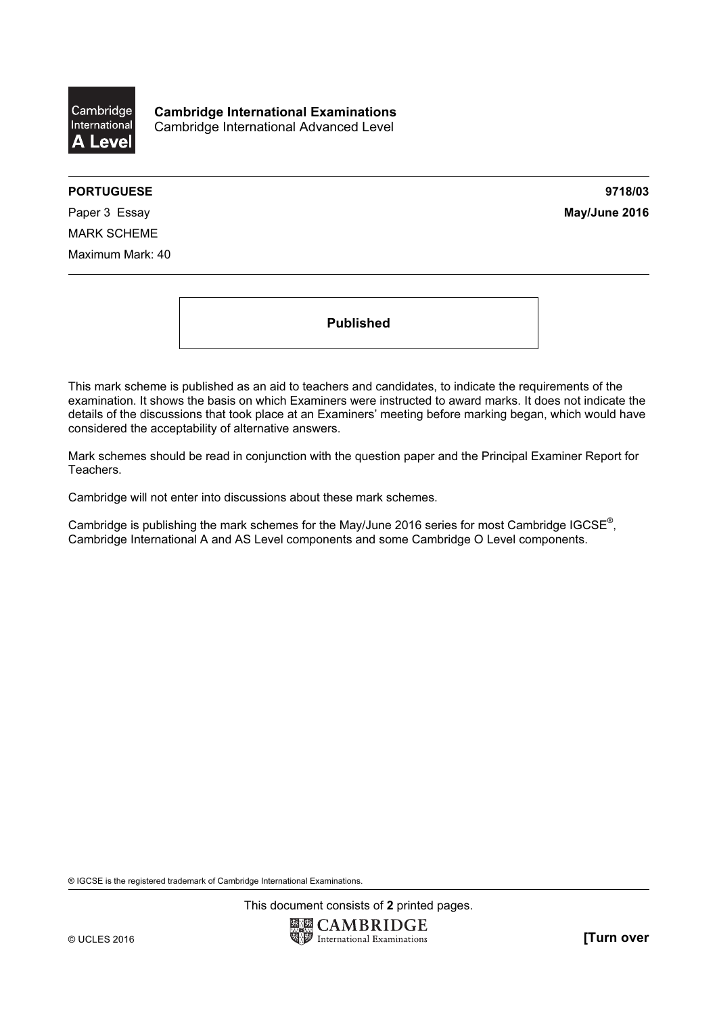

Cambridge International Examinations Cambridge International Advanced Level

## PORTUGUESE 2718/03

Paper 3 Essay May/June 2016 MARK SCHEME Maximum Mark: 40

Published

This mark scheme is published as an aid to teachers and candidates, to indicate the requirements of the examination. It shows the basis on which Examiners were instructed to award marks. It does not indicate the details of the discussions that took place at an Examiners' meeting before marking began, which would have considered the acceptability of alternative answers.

Mark schemes should be read in conjunction with the question paper and the Principal Examiner Report for Teachers.

Cambridge will not enter into discussions about these mark schemes.

Cambridge is publishing the mark schemes for the May/June 2016 series for most Cambridge IGCSE*®* , Cambridge International A and AS Level components and some Cambridge O Level components.

® IGCSE is the registered trademark of Cambridge International Examinations.